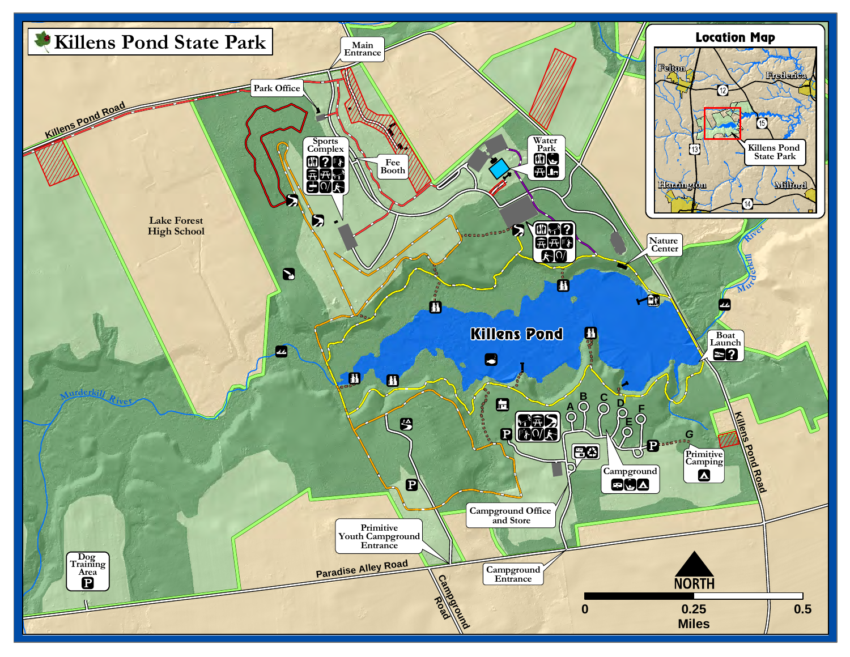